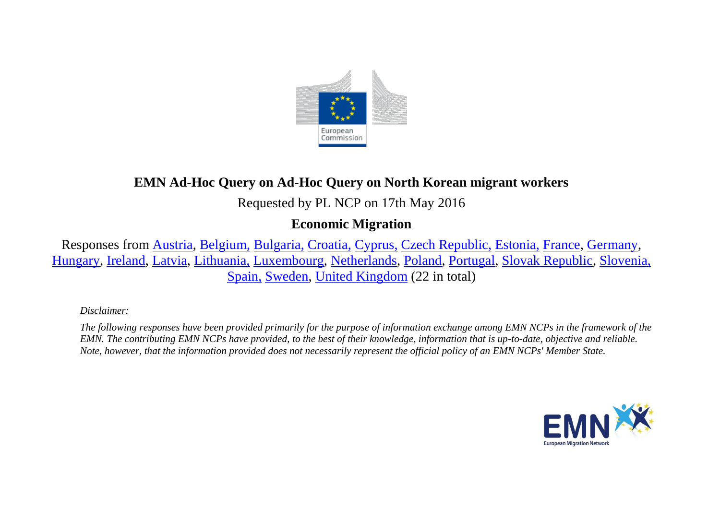

# **EMN Ad-Hoc Query on Ad-Hoc Query on North Korean migrant workers**

Requested by PL NCP on 17th May 2016

## **Economic Migration**

Responses from [Austria,](#page-1-0) [Belgium,](#page-1-1) [Bulgaria,](#page-2-0) [Croatia,](#page-2-1) [Cyprus,](#page-2-2) [Czech Republic,](#page-3-0) [Estonia,](#page-3-1) [France,](#page-3-2) [Germany,](#page-3-3) [Hungary,](#page-4-0) [Ireland,](#page-4-1) [Latvia,](#page-4-2) [Lithuania,](#page-4-3) [Luxembourg,](#page-5-0) [Netherlands,](#page-5-1) [Poland,](#page-5-2) [Portugal,](#page-6-0) [Slovak Republic,](#page-6-1) [Slovenia,](#page-6-2) [Spain,](#page-6-3) [Sweden,](#page-6-4) [United Kingdom](#page-7-0) (22 in total)

#### *Disclaimer:*

*The following responses have been provided primarily for the purpose of information exchange among EMN NCPs in the framework of the EMN. The contributing EMN NCPs have provided, to the best of their knowledge, information that is up-to-date, objective and reliable. Note, however, that the information provided does not necessarily represent the official policy of an EMN NCPs' Member State.*

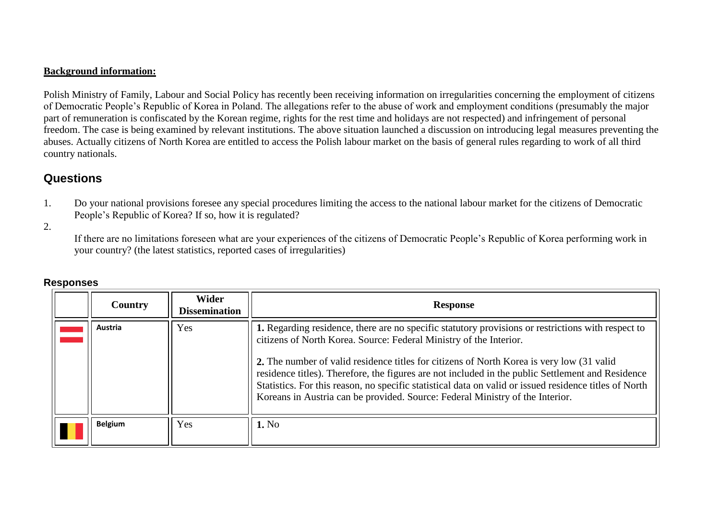#### **Background information:**

Polish Ministry of Family, Labour and Social Policy has recently been receiving information on irregularities concerning the employment of citizens of Democratic People's Republic of Korea in Poland. The allegations refer to the abuse of work and employment conditions (presumably the major part of remuneration is confiscated by the Korean regime, rights for the rest time and holidays are not respected) and infringement of personal freedom. The case is being examined by relevant institutions. The above situation launched a discussion on introducing legal measures preventing the abuses. Actually citizens of North Korea are entitled to access the Polish labour market on the basis of general rules regarding to work of all third country nationals.

### **Questions**

1. Do your national provisions foresee any special procedures limiting the access to the national labour market for the citizens of Democratic People's Republic of Korea? If so, how it is regulated?

2.

If there are no limitations foreseen what are your experiences of the citizens of Democratic People's Republic of Korea performing work in your country? (the latest statistics, reported cases of irregularities)

<span id="page-1-1"></span><span id="page-1-0"></span>

| Country        | <b>Wider</b><br><b>Dissemination</b> | <b>Response</b>                                                                                                                                                                                                                                                                                                                                                                                                                                                                                                                                                       |
|----------------|--------------------------------------|-----------------------------------------------------------------------------------------------------------------------------------------------------------------------------------------------------------------------------------------------------------------------------------------------------------------------------------------------------------------------------------------------------------------------------------------------------------------------------------------------------------------------------------------------------------------------|
| Austria        | Yes                                  | 1. Regarding residence, there are no specific statutory provisions or restrictions with respect to<br>citizens of North Korea. Source: Federal Ministry of the Interior.<br>2. The number of valid residence titles for citizens of North Korea is very low (31 valid<br>residence titles). Therefore, the figures are not included in the public Settlement and Residence<br>Statistics. For this reason, no specific statistical data on valid or issued residence titles of North<br>Koreans in Austria can be provided. Source: Federal Ministry of the Interior. |
| <b>Belgium</b> | Yes                                  | 1. No                                                                                                                                                                                                                                                                                                                                                                                                                                                                                                                                                                 |

#### **Responses**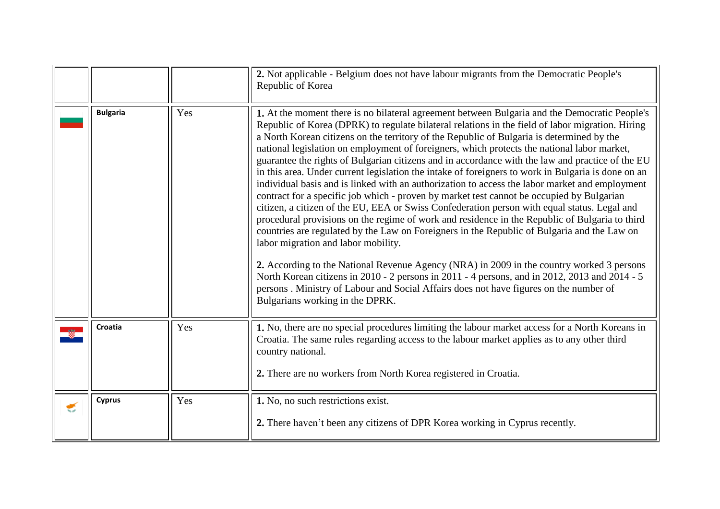<span id="page-2-2"></span><span id="page-2-1"></span><span id="page-2-0"></span>

|   |                 |     | 2. Not applicable - Belgium does not have labour migrants from the Democratic People's<br>Republic of Korea                                                                                                                                                                                                                                                                                                                                                                                                                                                                                                                                                                                                                                                                                                                                                                                                                                                                                                                                                                                                                                                                                                                                                                                                                                                                                                                                                              |
|---|-----------------|-----|--------------------------------------------------------------------------------------------------------------------------------------------------------------------------------------------------------------------------------------------------------------------------------------------------------------------------------------------------------------------------------------------------------------------------------------------------------------------------------------------------------------------------------------------------------------------------------------------------------------------------------------------------------------------------------------------------------------------------------------------------------------------------------------------------------------------------------------------------------------------------------------------------------------------------------------------------------------------------------------------------------------------------------------------------------------------------------------------------------------------------------------------------------------------------------------------------------------------------------------------------------------------------------------------------------------------------------------------------------------------------------------------------------------------------------------------------------------------------|
|   | <b>Bulgaria</b> | Yes | 1. At the moment there is no bilateral agreement between Bulgaria and the Democratic People's<br>Republic of Korea (DPRK) to regulate bilateral relations in the field of labor migration. Hiring<br>a North Korean citizens on the territory of the Republic of Bulgaria is determined by the<br>national legislation on employment of foreigners, which protects the national labor market,<br>guarantee the rights of Bulgarian citizens and in accordance with the law and practice of the EU<br>in this area. Under current legislation the intake of foreigners to work in Bulgaria is done on an<br>individual basis and is linked with an authorization to access the labor market and employment<br>contract for a specific job which - proven by market test cannot be occupied by Bulgarian<br>citizen, a citizen of the EU, EEA or Swiss Confederation person with equal status. Legal and<br>procedural provisions on the regime of work and residence in the Republic of Bulgaria to third<br>countries are regulated by the Law on Foreigners in the Republic of Bulgaria and the Law on<br>labor migration and labor mobility.<br>2. According to the National Revenue Agency (NRA) in 2009 in the country worked 3 persons<br>North Korean citizens in 2010 - 2 persons in 2011 - 4 persons, and in 2012, 2013 and 2014 - 5<br>persons. Ministry of Labour and Social Affairs does not have figures on the number of<br>Bulgarians working in the DPRK. |
|   | Croatia         | Yes | 1. No, there are no special procedures limiting the labour market access for a North Koreans in<br>Croatia. The same rules regarding access to the labour market applies as to any other third<br>country national.<br>2. There are no workers from North Korea registered in Croatia.                                                                                                                                                                                                                                                                                                                                                                                                                                                                                                                                                                                                                                                                                                                                                                                                                                                                                                                                                                                                                                                                                                                                                                                   |
| € | <b>Cyprus</b>   | Yes | 1. No, no such restrictions exist.<br>2. There haven't been any citizens of DPR Korea working in Cyprus recently.                                                                                                                                                                                                                                                                                                                                                                                                                                                                                                                                                                                                                                                                                                                                                                                                                                                                                                                                                                                                                                                                                                                                                                                                                                                                                                                                                        |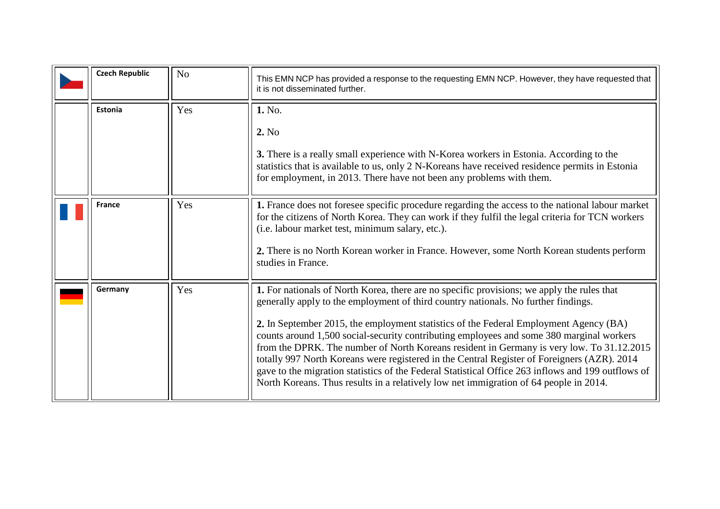<span id="page-3-3"></span><span id="page-3-2"></span><span id="page-3-1"></span><span id="page-3-0"></span>

| <b>Czech Republic</b> | N <sub>o</sub> | This EMN NCP has provided a response to the requesting EMN NCP. However, they have requested that<br>it is not disseminated further.                                                                                                                                                                                                                                                                                                                                                                                                                                                                                                                                                                                                                             |
|-----------------------|----------------|------------------------------------------------------------------------------------------------------------------------------------------------------------------------------------------------------------------------------------------------------------------------------------------------------------------------------------------------------------------------------------------------------------------------------------------------------------------------------------------------------------------------------------------------------------------------------------------------------------------------------------------------------------------------------------------------------------------------------------------------------------------|
| Estonia               | Yes            | 1. No.<br>2. No<br>3. There is a really small experience with N-Korea workers in Estonia. According to the<br>statistics that is available to us, only 2 N-Koreans have received residence permits in Estonia<br>for employment, in 2013. There have not been any problems with them.                                                                                                                                                                                                                                                                                                                                                                                                                                                                            |
| <b>France</b>         | Yes            | 1. France does not foresee specific procedure regarding the access to the national labour market<br>for the citizens of North Korea. They can work if they fulfil the legal criteria for TCN workers<br>(i.e. labour market test, minimum salary, etc.).<br>2. There is no North Korean worker in France. However, some North Korean students perform<br>studies in France.                                                                                                                                                                                                                                                                                                                                                                                      |
| Germany               | Yes            | 1. For nationals of North Korea, there are no specific provisions; we apply the rules that<br>generally apply to the employment of third country nationals. No further findings.<br>2. In September 2015, the employment statistics of the Federal Employment Agency (BA)<br>counts around 1,500 social-security contributing employees and some 380 marginal workers<br>from the DPRK. The number of North Koreans resident in Germany is very low. To 31.12.2015<br>totally 997 North Koreans were registered in the Central Register of Foreigners (AZR). 2014<br>gave to the migration statistics of the Federal Statistical Office 263 inflows and 199 outflows of<br>North Koreans. Thus results in a relatively low net immigration of 64 people in 2014. |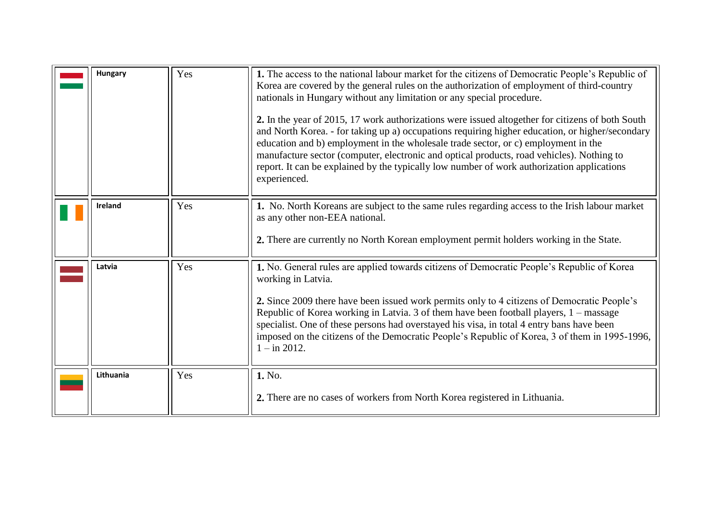<span id="page-4-3"></span><span id="page-4-2"></span><span id="page-4-1"></span><span id="page-4-0"></span>

| Hungary        | Yes | 1. The access to the national labour market for the citizens of Democratic People's Republic of<br>Korea are covered by the general rules on the authorization of employment of third-country<br>nationals in Hungary without any limitation or any special procedure.<br>2. In the year of 2015, 17 work authorizations were issued altogether for citizens of both South<br>and North Korea. - for taking up a) occupations requiring higher education, or higher/secondary<br>education and b) employment in the wholesale trade sector, or c) employment in the<br>manufacture sector (computer, electronic and optical products, road vehicles). Nothing to<br>report. It can be explained by the typically low number of work authorization applications<br>experienced. |
|----------------|-----|--------------------------------------------------------------------------------------------------------------------------------------------------------------------------------------------------------------------------------------------------------------------------------------------------------------------------------------------------------------------------------------------------------------------------------------------------------------------------------------------------------------------------------------------------------------------------------------------------------------------------------------------------------------------------------------------------------------------------------------------------------------------------------|
| <b>Ireland</b> | Yes | 1. No. North Koreans are subject to the same rules regarding access to the Irish labour market<br>as any other non-EEA national.<br>2. There are currently no North Korean employment permit holders working in the State.                                                                                                                                                                                                                                                                                                                                                                                                                                                                                                                                                     |
| Latvia         | Yes | 1. No. General rules are applied towards citizens of Democratic People's Republic of Korea<br>working in Latvia.<br>2. Since 2009 there have been issued work permits only to 4 citizens of Democratic People's<br>Republic of Korea working in Latvia. 3 of them have been football players, 1 – massage<br>specialist. One of these persons had overstayed his visa, in total 4 entry bans have been<br>imposed on the citizens of the Democratic People's Republic of Korea, 3 of them in 1995-1996,<br>$1 - in 2012$ .                                                                                                                                                                                                                                                     |
| Lithuania      | Yes | 1. No.<br>2. There are no cases of workers from North Korea registered in Lithuania.                                                                                                                                                                                                                                                                                                                                                                                                                                                                                                                                                                                                                                                                                           |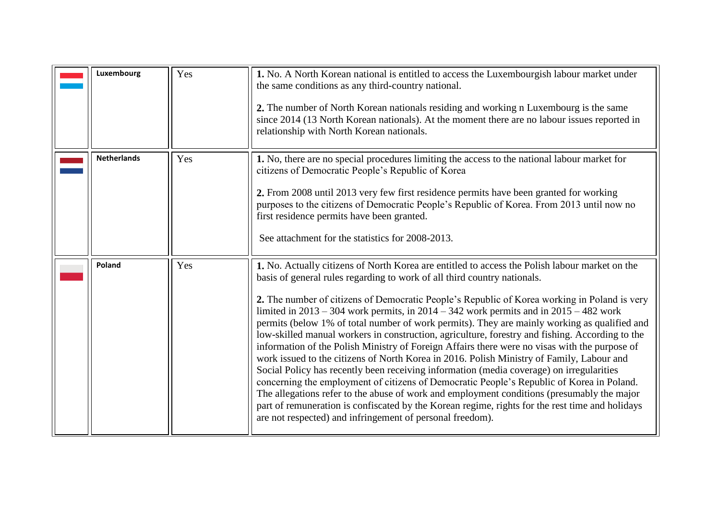<span id="page-5-2"></span><span id="page-5-1"></span><span id="page-5-0"></span>

| Luxembourg         | Yes | 1. No. A North Korean national is entitled to access the Luxembourgish labour market under<br>the same conditions as any third-country national.<br>2. The number of North Korean nationals residing and working n Luxembourg is the same<br>since 2014 (13 North Korean nationals). At the moment there are no labour issues reported in<br>relationship with North Korean nationals.                                                                                                                                                                                                                                                                                                                                                                                                                                                                                                                                                                                                                                                                                                                                                                                                                                            |
|--------------------|-----|-----------------------------------------------------------------------------------------------------------------------------------------------------------------------------------------------------------------------------------------------------------------------------------------------------------------------------------------------------------------------------------------------------------------------------------------------------------------------------------------------------------------------------------------------------------------------------------------------------------------------------------------------------------------------------------------------------------------------------------------------------------------------------------------------------------------------------------------------------------------------------------------------------------------------------------------------------------------------------------------------------------------------------------------------------------------------------------------------------------------------------------------------------------------------------------------------------------------------------------|
| <b>Netherlands</b> | Yes | 1. No, there are no special procedures limiting the access to the national labour market for<br>citizens of Democratic People's Republic of Korea<br>2. From 2008 until 2013 very few first residence permits have been granted for working<br>purposes to the citizens of Democratic People's Republic of Korea. From 2013 until now no<br>first residence permits have been granted.<br>See attachment for the statistics for 2008-2013.                                                                                                                                                                                                                                                                                                                                                                                                                                                                                                                                                                                                                                                                                                                                                                                        |
| Poland             | Yes | 1. No. Actually citizens of North Korea are entitled to access the Polish labour market on the<br>basis of general rules regarding to work of all third country nationals.<br>2. The number of citizens of Democratic People's Republic of Korea working in Poland is very<br>limited in $2013 - 304$ work permits, in $2014 - 342$ work permits and in $2015 - 482$ work<br>permits (below 1% of total number of work permits). They are mainly working as qualified and<br>low-skilled manual workers in construction, agriculture, forestry and fishing. According to the<br>information of the Polish Ministry of Foreign Affairs there were no visas with the purpose of<br>work issued to the citizens of North Korea in 2016. Polish Ministry of Family, Labour and<br>Social Policy has recently been receiving information (media coverage) on irregularities<br>concerning the employment of citizens of Democratic People's Republic of Korea in Poland.<br>The allegations refer to the abuse of work and employment conditions (presumably the major<br>part of remuneration is confiscated by the Korean regime, rights for the rest time and holidays<br>are not respected) and infringement of personal freedom). |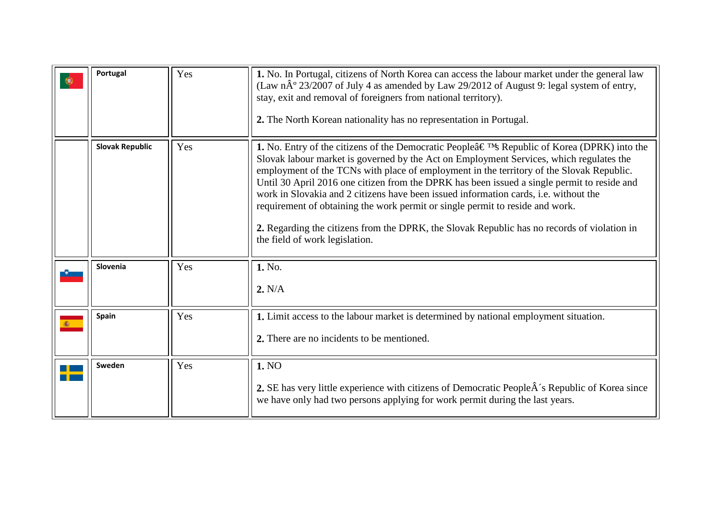<span id="page-6-4"></span><span id="page-6-3"></span><span id="page-6-2"></span><span id="page-6-1"></span><span id="page-6-0"></span>

| Portugal               | Yes | 1. No. In Portugal, citizens of North Korea can access the labour market under the general law<br>(Law $n\hat{A}^{\circ}$ 23/2007 of July 4 as amended by Law 29/2012 of August 9: legal system of entry,<br>stay, exit and removal of foreigners from national territory).<br>2. The North Korean nationality has no representation in Portugal.                                                                                                                                                                                                                                                                                                                                                                  |
|------------------------|-----|--------------------------------------------------------------------------------------------------------------------------------------------------------------------------------------------------------------------------------------------------------------------------------------------------------------------------------------------------------------------------------------------------------------------------------------------------------------------------------------------------------------------------------------------------------------------------------------------------------------------------------------------------------------------------------------------------------------------|
| <b>Slovak Republic</b> | Yes | <b>1.</b> No. Entry of the citizens of the Democratic People $\hat{a} \in T^{M}$ Republic of Korea (DPRK) into the<br>Slovak labour market is governed by the Act on Employment Services, which regulates the<br>employment of the TCNs with place of employment in the territory of the Slovak Republic.<br>Until 30 April 2016 one citizen from the DPRK has been issued a single permit to reside and<br>work in Slovakia and 2 citizens have been issued information cards, i.e. without the<br>requirement of obtaining the work permit or single permit to reside and work.<br>2. Regarding the citizens from the DPRK, the Slovak Republic has no records of violation in<br>the field of work legislation. |
| Slovenia               | Yes | 1. No.<br>2. N/A                                                                                                                                                                                                                                                                                                                                                                                                                                                                                                                                                                                                                                                                                                   |
| Spain                  | Yes | 1. Limit access to the labour market is determined by national employment situation.<br>2. There are no incidents to be mentioned.                                                                                                                                                                                                                                                                                                                                                                                                                                                                                                                                                                                 |
| Sweden                 | Yes | 1. NO<br>2. SE has very little experience with citizens of Democratic People $\hat{A}$ 's Republic of Korea since<br>we have only had two persons applying for work permit during the last years.                                                                                                                                                                                                                                                                                                                                                                                                                                                                                                                  |